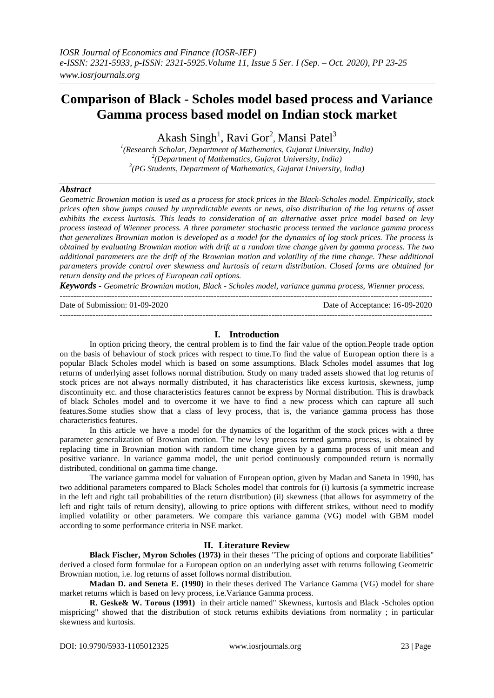# **Comparison of Black - Scholes model based process and Variance Gamma process based model on Indian stock market**

Akash Singh<sup>1</sup>, Ravi Gor<sup>2</sup>, Mansi Patel<sup>3</sup>

*1 (Research Scholar, Department of Mathematics, Gujarat University, India) 2 (Department of Mathematics, Gujarat University, India) 3 (PG Students, Department of Mathematics, Gujarat University, India)*

# *Abstract*

*Geometric Brownian motion is used as a process for stock prices in the Black-Scholes model. Empirically, stock prices often show jumps caused by unpredictable events or news, also distribution of the log returns of asset exhibits the excess kurtosis. This leads to consideration of an alternative asset price model based on levy process instead of Wienner process. A three parameter stochastic process termed the variance gamma process that generalizes Brownian motion is developed as a model for the dynamics of log stock prices. The process is obtained by evaluating Brownian motion with drift at a random time change given by gamma process. The two additional parameters are the drift of the Brownian motion and volatility of the time change. These additional parameters provide control over skewness and kurtosis of return distribution. Closed forms are obtained for return density and the prices of European call options.*

*Keywords - Geometric Brownian motion, Black - Scholes model, variance gamma process, Wienner process.*

---------------------------------------------------------------------------------------------------------------------------------------

Date of Acceptance: 16-09-2020

## **I. Introduction**

---------------------------------------------------------------------------------------------------------------------------------------

In option pricing theory, the central problem is to find the fair value of the option.People trade option on the basis of behaviour of stock prices with respect to time.To find the value of European option there is a popular Black Scholes model which is based on some assumptions. Black Scholes model assumes that log returns of underlying asset follows normal distribution. Study on many traded assets showed that log returns of stock prices are not always normally distributed, it has characteristics like excess kurtosis, skewness, jump discontinuity etc. and those characteristics features cannot be express by Normal distribution. This is drawback of black Scholes model and to overcome it we have to find a new process which can capture all such features.Some studies show that a class of levy process, that is, the variance gamma process has those characteristics features.

In this article we have a model for the dynamics of the logarithm of the stock prices with a three parameter generalization of Brownian motion. The new levy process termed gamma process, is obtained by replacing time in Brownian motion with random time change given by a gamma process of unit mean and positive variance. In variance gamma model, the unit period continuously compounded return is normally distributed, conditional on gamma time change.

The variance gamma model for valuation of European option, given by Madan and Saneta in 1990, has two additional parameters compared to Black Scholes model that controls for (i) kurtosis (a symmetric increase in the left and right tail probabilities of the return distribution) (ii) skewness (that allows for asymmetry of the left and right tails of return density), allowing to price options with different strikes, without need to modify implied volatility or other parameters. We compare this variance gamma (VG) model with GBM model according to some performance criteria in NSE market.

# **II. Literature Review**

**Black Fischer, Myron Scholes (1973)** in their theses "The pricing of options and corporate liabilities" derived a closed form formulae for a European option on an underlying asset with returns following Geometric Brownian motion, i.e. log returns of asset follows normal distribution.

**Madan D. and Seneta E. (1990)** in their theses derived The Variance Gamma (VG) model for share market returns which is based on levy process, i.e.Variance Gamma process.

**R. Geske& W. Torous (1991)** in their article named" Skewness, kurtosis and Black -Scholes option mispricing" showed that the distribution of stock returns exhibits deviations from normality ; in particular skewness and kurtosis.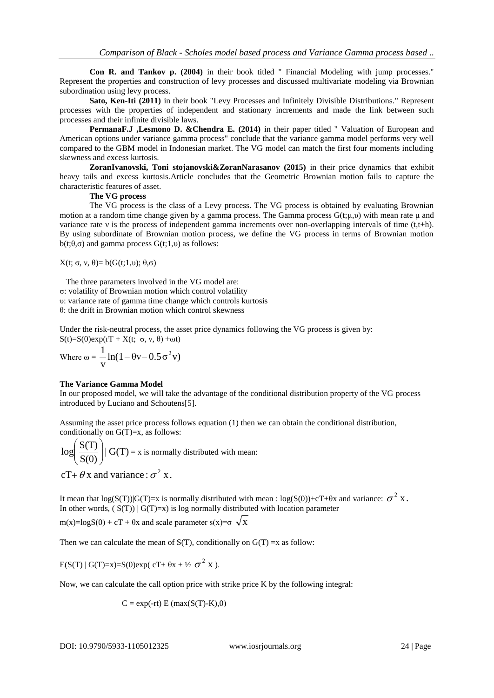**Con R. and Tankov p. (2004)** in their book titled " Financial Modeling with jump processes." Represent the properties and construction of levy processes and discussed multivariate modeling via Brownian subordination using levy process.

**Sato, Ken-Iti (2011)** in their book "Levy Processes and Infinitely Divisible Distributions." Represent processes with the properties of independent and stationary increments and made the link between such processes and their infinite divisible laws.

**PermanaF.J ,Lesmono D. &Chendra E. (2014)** in their paper titled " Valuation of European and American options under variance gamma process" conclude that the variance gamma model performs very well compared to the GBM model in Indonesian market. The VG model can match the first four moments including skewness and excess kurtosis.

**ZoranIvanovski, Toni stojanovski&ZoranNarasanov (2015)** in their price dynamics that exhibit heavy tails and excess kurtosis.Article concludes that the Geometric Brownian motion fails to capture the characteristic features of asset.

#### **The VG process**

The VG process is the class of a Levy process. The VG process is obtained by evaluating Brownian motion at a random time change given by a gamma process. The Gamma process  $G(t;\mu,\nu)$  with mean rate  $\mu$  and variance rate ν is the process of independent gamma increments over non-overlapping intervals of time (t,t+h). By using subordinate of Brownian motion process, we define the VG process in terms of Brownian motion b(t; $\theta$ , $\sigma$ ) and gamma process  $G(t;1,\nu)$  as follows:

X(t; σ, ν, θ)= b( $G(t;1,0)$ ; θ,σ)

 The three parameters involved in the VG model are: σ: volatility of Brownian motion which control volatility υ: variance rate of gamma time change which controls kurtosis θ: the drift in Brownian motion which control skewness

Under the risk-neutral process, the asset price dynamics following the VG process is given by:  $S(t)=S(0)exp(rT+X(t; \sigma, v, \theta) +\omega t)$ 

Where 
$$
\omega = \frac{1}{v} \ln(1 - \theta v - 0.5 \sigma^2 v)
$$

## **The Variance Gamma Model**

In our proposed model, we will take the advantage of the conditional distribution property of the VG process introduced by Luciano and Schoutens[5].

Assuming the asset price process follows equation (1) then we can obtain the conditional distribution, conditionally on  $G(T)=x$ , as follows:

 $\log \left( \frac{S(T)}{S(0)} \right) | G(T) = x$  is normally distrib  $\int_{\mathbb{R}^2} C(T) \cdot \mathbb{R}^{n}$  $\left(\frac{\overline{S(0)}}{S(0)}\right) | G(1) = x$  is norn  $\left(\frac{S(T)}{S(T)}\right)$   $| G(T) = x$  is normally distributed with mean:  $cT + \theta x$  and variance:  $\sigma^2 x$ .

It mean that  $log(S(T))|G(T)=x$  is normally distributed with mean :  $log(S(0)) + cT + \theta x$  and variance:  $\sigma^2 X$ . In other words,  $(S(T)) | G(T)=x$  is log normally distributed with location parameter

m(x)=logS(0) + cT +  $\theta$ x and scale parameter s(x)= $\sigma \sqrt{x}$ x

Then we can calculate the mean of  $S(T)$ , conditionally on  $G(T) = x$  as follow:

 $E(S(T) | G(T)=x)=S(0)exp(cT+\theta x + \frac{1}{2}\sigma^2 X).$  $X$ ).

Now, we can calculate the call option price with strike price K by the following integral:

 $C = exp(-rt) E (max(S(T)-K),0)$